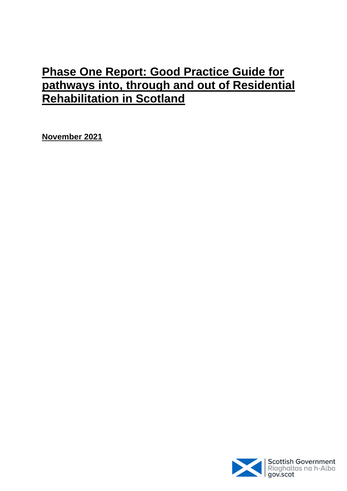# **Phase One Report: Good Practice Guide for pathways into, through and out of Residential Rehabilitation in Scotland**

**November 2021**

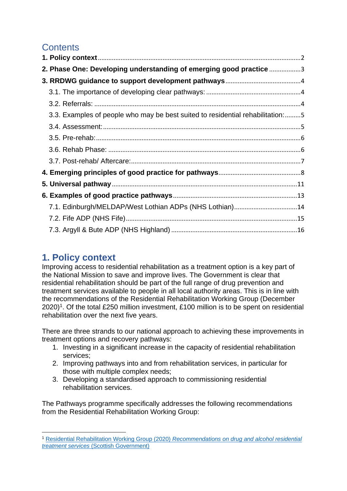## **Contents**

| 2. Phase One: Developing understanding of emerging good practice 3             |  |
|--------------------------------------------------------------------------------|--|
|                                                                                |  |
|                                                                                |  |
|                                                                                |  |
| 3.3. Examples of people who may be best suited to residential rehabilitation:5 |  |
|                                                                                |  |
|                                                                                |  |
|                                                                                |  |
|                                                                                |  |
|                                                                                |  |
|                                                                                |  |
|                                                                                |  |
| 7.1. Edinburgh/MELDAP/West Lothian ADPs (NHS Lothian)14                        |  |
|                                                                                |  |
|                                                                                |  |

## <span id="page-1-0"></span>**1. Policy context**

Improving access to residential rehabilitation as a treatment option is a key part of the National Mission to save and improve lives. The Government is clear that residential rehabilitation should be part of the full range of drug prevention and treatment services available to people in all local authority areas. This is in line with the recommendations of the Residential Rehabilitation Working Group (December 2020)<sup>1</sup>. Of the total £250 million investment, £100 million is to be spent on residential rehabilitation over the next five years.

There are three strands to our national approach to achieving these improvements in treatment options and recovery pathways:

- 1. Investing in a significant increase in the capacity of residential rehabilitation services;
- 2. Improving pathways into and from rehabilitation services, in particular for those with multiple complex needs;
- 3. Developing a standardised approach to commissioning residential rehabilitation services.

The Pathways programme specifically addresses the following recommendations from the Residential Rehabilitation Working Group:

**<sup>.</sup>** <sup>1</sup> Residential Rehabilitation Working Group (2020) *[Recommendations on drug and alcohol residential](https://www.gov.scot/publications/residential-rehabilitation-working-group-preliminary-recommendations-drug-alcohol-residential-treatment-services/pages/2/)  treatment services* [\(Scottish Government\)](https://www.gov.scot/publications/residential-rehabilitation-working-group-preliminary-recommendations-drug-alcohol-residential-treatment-services/pages/2/)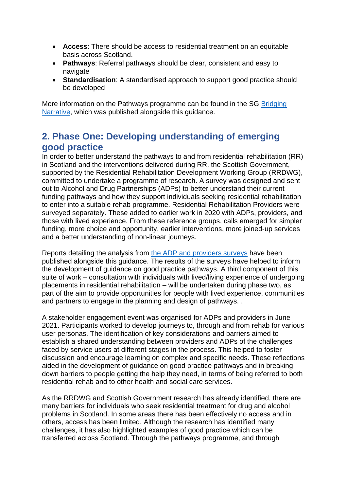- **Access**: There should be access to residential treatment on an equitable basis across Scotland.
- **Pathways**: Referral pathways should be clear, consistent and easy to navigate
- **Standardisation**: A standardised approach to support good practice should be developed

More information on the Pathways programme can be found in the SG [Bridging](https://www.gov.scot/ISBN/9781802016215/documents/)  [Narrative,](https://www.gov.scot/ISBN/9781802016215/documents/) which was published alongside this guidance.

## <span id="page-2-0"></span>**2. Phase One: Developing understanding of emerging good practice**

In order to better understand the pathways to and from residential rehabilitation (RR) in Scotland and the interventions delivered during RR, the Scottish Government, supported by the Residential Rehabilitation Development Working Group (RRDWG), committed to undertake a programme of research. A survey was designed and sent out to Alcohol and Drug Partnerships (ADPs) to better understand their current funding pathways and how they support individuals seeking residential rehabilitation to enter into a suitable rehab programme. Residential Rehabilitation Providers were surveyed separately. These added to earlier work in 2020 with ADPs, providers, and those with lived experience. From these reference groups, calls emerged for simpler funding, more choice and opportunity, earlier interventions, more joined-up services and a better understanding of non-linear journeys.

Reports detailing the analysis from [the ADP and providers surveys](https://www.gov.scot/ISBN/9781802016215/documents/) have been published alongside this guidance. The results of the surveys have helped to inform the development of guidance on good practice pathways. A third component of this suite of work – consultation with individuals with lived/living experience of undergoing placements in residential rehabilitation – will be undertaken during phase two, as part of the aim to provide opportunities for people with lived experience, communities and partners to engage in the planning and design of pathways. .

A stakeholder engagement event was organised for ADPs and providers in June 2021. Participants worked to develop journeys to, through and from rehab for various user personas. The identification of key considerations and barriers aimed to establish a shared understanding between providers and ADPs of the challenges faced by service users at different stages in the process. This helped to foster discussion and encourage learning on complex and specific needs. These reflections aided in the development of guidance on good practice pathways and in breaking down barriers to people getting the help they need, in terms of being referred to both residential rehab and to other health and social care services.

As the RRDWG and Scottish Government research has already identified, there are many barriers for individuals who seek residential treatment for drug and alcohol problems in Scotland. In some areas there has been effectively no access and in others, access has been limited. Although the research has identified many challenges, it has also highlighted examples of good practice which can be transferred across Scotland. Through the pathways programme, and through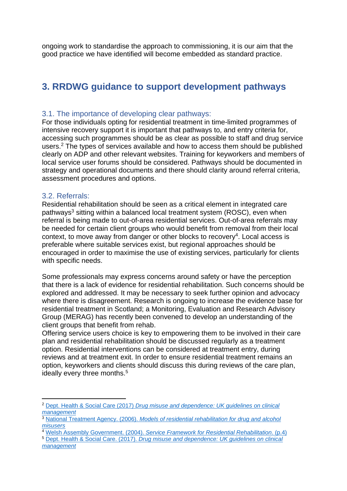ongoing work to standardise the approach to commissioning, it is our aim that the good practice we have identified will become embedded as standard practice.

### <span id="page-3-0"></span>**3. RRDWG guidance to support development pathways**

#### <span id="page-3-1"></span>3.1. The importance of developing clear pathways:

For those individuals opting for residential treatment in time-limited programmes of intensive recovery support it is important that pathways to, and entry criteria for, accessing such programmes should be as clear as possible to staff and drug service users.<sup>2</sup> The types of services available and how to access them should be published clearly on ADP and other relevant websites. Training for keyworkers and members of local service user forums should be considered. Pathways should be documented in strategy and operational documents and there should clarity around referral criteria, assessment procedures and options.

#### <span id="page-3-2"></span>3.2. Referrals:

**.** 

Residential rehabilitation should be seen as a critical element in integrated care pathways<sup>3</sup> sitting within a balanced local treatment system (ROSC), even when referral is being made to out-of-area residential services. Out-of-area referrals may be needed for certain client groups who would benefit from removal from their local context, to move away from danger or other blocks to recovery<sup>4</sup>. Local access is preferable where suitable services exist, but regional approaches should be encouraged in order to maximise the use of existing services, particularly for clients with specific needs.

Some professionals may express concerns around safety or have the perception that there is a lack of evidence for residential rehabilitation. Such concerns should be explored and addressed. It may be necessary to seek further opinion and advocacy where there is disagreement. Research is ongoing to increase the evidence base for residential treatment in Scotland; a Monitoring, Evaluation and Research Advisory Group (MERAG) has recently been convened to develop an understanding of the client groups that benefit from rehab.

Offering service users choice is key to empowering them to be involved in their care plan and residential rehabilitation should be discussed regularly as a treatment option. Residential interventions can be considered at treatment entry, during reviews and at treatment exit. In order to ensure residential treatment remains an option, keyworkers and clients should discuss this during reviews of the care plan, ideally every three months.<sup>5</sup>

<sup>2</sup> Dept. Health & Social Care (2017) *[Drug misuse and dependence: UK guidelines on clinical](https://www.gov.uk/government/publications/drug-misuse-and-dependence-uk-guidelines-on-clinical-management)  [management](https://www.gov.uk/government/publications/drug-misuse-and-dependence-uk-guidelines-on-clinical-management)*

<sup>3</sup> National Treatment Agency. (2006). *[Models of residential rehabilitation for drug and alcohol](https://www.emcdda.europa.eu/attachements.cfm/att_101801_EN_7.%20UK07_residential_rehab.pdf)  [misusers](https://www.emcdda.europa.eu/attachements.cfm/att_101801_EN_7.%20UK07_residential_rehab.pdf)*

<sup>4</sup> Welsh Assembly Government. (2004). *[Service Framework for Residential Rehabilitation](https://cavuhb.nhs.wales/files/area-planning-board-apb/substance-misuse-treatment-framework-for-wales-pdf/)*. (p.4)

<sup>5</sup> Dept. Health & Social Care. (2017). *[Drug misuse and dependence: UK guidelines on clinical](https://www.gov.uk/government/publications/drug-misuse-and-dependence-uk-guidelines-on-clinical-management)  [management](https://www.gov.uk/government/publications/drug-misuse-and-dependence-uk-guidelines-on-clinical-management)*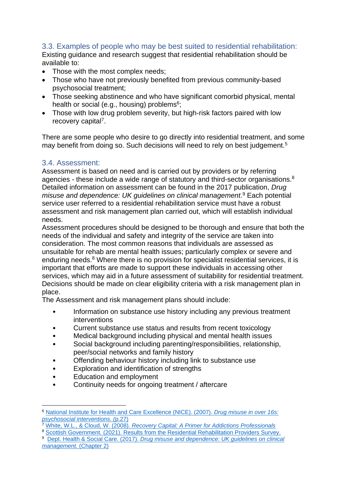#### <span id="page-4-0"></span>3.3. Examples of people who may be best suited to residential rehabilitation:

Existing guidance and research suggest that residential rehabilitation should be available to:

- Those with the most complex needs;
- Those who have not previously benefited from previous community-based psychosocial treatment;
- Those seeking abstinence and who have significant comorbid physical, mental health or social (e.g., housing) problems<sup>6</sup>;
- Those with low drug problem severity, but high-risk factors paired with low recovery capital<sup>7</sup>.

There are some people who desire to go directly into residential treatment, and some may benefit from doing so. Such decisions will need to rely on best judgement.<sup>5</sup>

#### <span id="page-4-1"></span>3.4. Assessment:

Assessment is based on need and is carried out by providers or by referring agencies - these include a wide range of statutory and third-sector organisations.<sup>8</sup> Detailed information on assessment can be found in the 2017 publication, *Drug misuse and dependence: UK guidelines on clinical management.* <sup>9</sup> Each potential service user referred to a residential rehabilitation service must have a robust assessment and risk management plan carried out, which will establish individual needs.

Assessment procedures should be designed to be thorough and ensure that both the needs of the individual and safety and integrity of the service are taken into consideration. The most common reasons that individuals are assessed as unsuitable for rehab are mental health issues; particularly complex or severe and enduring needs. <sup>8</sup> Where there is no provision for specialist residential services, it is important that efforts are made to support these individuals in accessing other services, which may aid in a future assessment of suitability for residential treatment. Decisions should be made on clear eligibility criteria with a risk management plan in place.

The Assessment and risk management plans should include:

- Information on substance use history including any previous treatment interventions
- Current substance use status and results from recent toxicology
- Medical background including physical and mental health issues
- Social background including parenting/responsibilities, relationship, peer/social networks and family history
- Offending behaviour history including link to substance use
- Exploration and identification of strengths
- Education and employment

**.** 

• Continuity needs for ongoing treatment / aftercare

<sup>6</sup> [National Institute for Health and Care Excellence \(NICE\).](https://www.nice.org.uk/guidance/cg51/chapter/1-Guidance#residential-prison-and-inpatient-care) (2007). *Drug misuse in over 16s: [psychosocial interventions. \(](https://www.nice.org.uk/guidance/cg51/chapter/1-Guidance#residential-prison-and-inpatient-care)*p.27)

<sup>7</sup> White, W.L., & Cloud, W. (2008). *[Recovery Capital: A Primer for Addictions Professionals](http://williamwhitepapers.com/pr/2008RecoveryCapitalPrimer.pdf)*

<sup>8</sup> [Scottish Government. \(2021\). Results from the Residential Rehabilitation Providers Survey.](https://www.gov.scot/ISBN/9781802016215/documents/)

<sup>9</sup> Dept. Health & Social Care. (2017). *[Drug misuse and dependence: UK guidelines on clinical](https://www.gov.uk/government/publications/drug-misuse-and-dependence-uk-guidelines-on-clinical-management)  [management.](https://www.gov.uk/government/publications/drug-misuse-and-dependence-uk-guidelines-on-clinical-management)* (Chapter 2)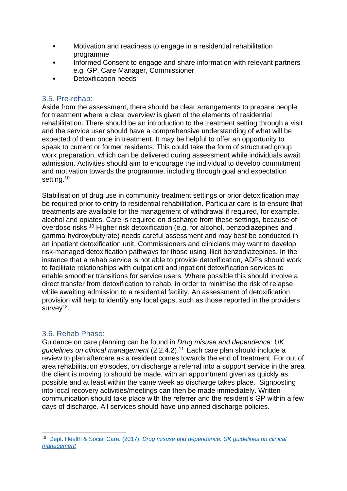- Motivation and readiness to engage in a residential rehabilitation programme
- Informed Consent to engage and share information with relevant partners e.g. GP, Care Manager, Commissioner
- Detoxification needs

### <span id="page-5-0"></span>3.5. Pre-rehab:

Aside from the assessment, there should be clear arrangements to prepare people for treatment where a clear overview is given of the elements of residential rehabilitation. There should be an introduction to the treatment setting through a visit and the service user should have a comprehensive understanding of what will be expected of them once in treatment. It may be helpful to offer an opportunity to speak to current or former residents. This could take the form of structured group work preparation, which can be delivered during assessment while individuals await admission. Activities should aim to encourage the individual to develop commitment and motivation towards the programme, including through goal and expectation setting.<sup>10</sup>

Stabilisation of drug use in community treatment settings or prior detoxification may be required prior to entry to residential rehabilitation. Particular care is to ensure that treatments are available for the management of withdrawal if required, for example, alcohol and opiates. Care is required on discharge from these settings, because of overdose risks.<sup>10</sup> Higher risk detoxification (e.g. for alcohol, benzodiazepines and gamma-hydroxybutyrate) needs careful assessment and may best be conducted in an inpatient detoxification unit. Commissioners and clinicians may want to develop risk-managed detoxification pathways for those using illicit benzodiazepines. In the instance that a rehab service is not able to provide detoxification, ADPs should work to facilitate relationships with outpatient and inpatient detoxification services to enable smoother transitions for service users. Where possible this should involve a direct transfer from detoxification to rehab, in order to minimise the risk of relapse while awaiting admission to a residential facility. An assessment of detoxification provision will help to identify any local gaps, such as those reported in the providers survey<sup>12</sup>.

### <span id="page-5-1"></span>3.6. Rehab Phase:

**.** 

Guidance on care planning can be found in *Drug misuse and dependence: UK guidelines on clinical management* (2.2.4.2). <sup>11</sup> Each care plan should include a review to plan aftercare as a resident comes towards the end of treatment. For out of area rehabilitation episodes, on discharge a referral into a support service in the area the client is moving to should be made, with an appointment given as quickly as possible and at least within the same week as discharge takes place. Signposting into local recovery activities/meetings can then be made immediately. Written communication should take place with the referrer and the resident's GP within a few days of discharge. All services should have unplanned discharge policies.

<sup>10</sup> Dept. Health & Social Care. (2017). *[Drug misuse and dependence: UK guidelines on clinical](https://www.gov.uk/government/publications/drug-misuse-and-dependence-uk-guidelines-on-clinical-management)  [management](https://www.gov.uk/government/publications/drug-misuse-and-dependence-uk-guidelines-on-clinical-management)*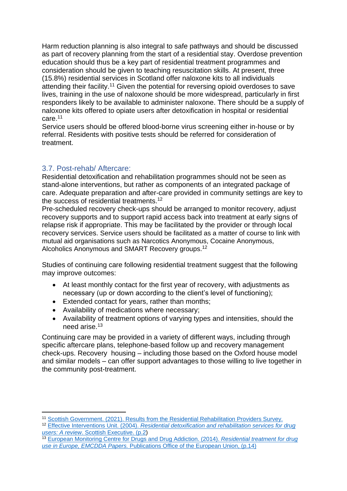Harm reduction planning is also integral to safe pathways and should be discussed as part of recovery planning from the start of a residential stay. Overdose prevention education should thus be a key part of residential treatment programmes and consideration should be given to teaching resuscitation skills. At present, three (15.8%) residential services in Scotland offer naloxone kits to all individuals attending their facility.<sup>11</sup> Given the potential for reversing opioid overdoses to save lives, training in the use of naloxone should be more widespread, particularly in first responders likely to be available to administer naloxone. There should be a supply of naloxone kits offered to opiate users after detoxification in hospital or residential care.<sup>11</sup>

Service users should be offered blood-borne virus screening either in-house or by referral. Residents with positive tests should be referred for consideration of treatment.

### <span id="page-6-0"></span>3.7. Post-rehab/ Aftercare:

Residential detoxification and rehabilitation programmes should not be seen as stand-alone interventions, but rather as components of an integrated package of care. Adequate preparation and after-care provided in community settings are key to the success of residential treatments.<sup>12</sup>

Pre-scheduled recovery check-ups should be arranged to monitor recovery, adjust recovery supports and to support rapid access back into treatment at early signs of relapse risk if appropriate. This may be facilitated by the provider or through local recovery services. Service users should be facilitated as a matter of course to link with mutual aid organisations such as Narcotics Anonymous, Cocaine Anonymous, Alcoholics Anonymous and SMART Recovery groups.<sup>12</sup>

Studies of continuing care following residential treatment suggest that the following may improve outcomes:

- At least monthly contact for the first year of recovery, with adjustments as necessary (up or down according to the client's level of functioning);
- Extended contact for years, rather than months;
- Availability of medications where necessary;
- Availability of treatment options of varying types and intensities, should the need arise. 13

Continuing care may be provided in a variety of different ways, including through specific aftercare plans, telephone-based follow up and recovery management check-ups. Recovery housing – including those based on the Oxford house model and similar models – can offer support advantages to those willing to live together in the community post-treatment.

**<sup>.</sup>** <sup>11</sup> [Scottish Government. \(2021\). Results from the Residential Rehabilitation Providers Survey.](https://www.gov.scot/ISBN/9781802016215/documents/)

<sup>12</sup> Effective Interventions Unit. (2004). *[Residential detoxification and rehabilitation services for drug](https://www.drugsandalcohol.ie/3945/1/Scottish_Exec_residential_detox.pdf)  users: A review*[. Scottish Executive. \(p.2\)](https://www.drugsandalcohol.ie/3945/1/Scottish_Exec_residential_detox.pdf)

<sup>13</sup> [European Monitoring Centre for Drugs and Drug Addiction.](https://www.emcdda.europa.eu/attachements.cfm/att_229688_EN_TDAU14005ENN.pdf) (2014). *Residential treatment for drug use in Europe, EMCDDA Papers.* [Publications Office of the European Union, \(p.14\)](https://www.emcdda.europa.eu/attachements.cfm/att_229688_EN_TDAU14005ENN.pdf)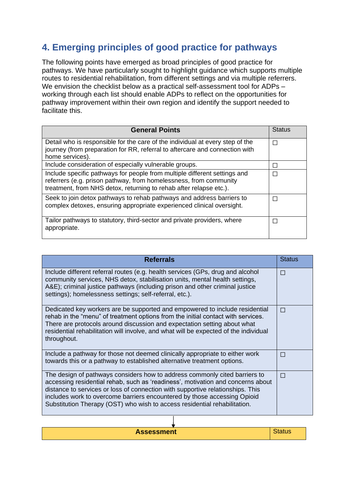## <span id="page-7-0"></span>**4. Emerging principles of good practice for pathways**

The following points have emerged as broad principles of good practice for pathways. We have particularly sought to highlight guidance which supports multiple routes to residential rehabilitation, from different settings and via multiple referrers. We envision the checklist below as a practical self-assessment tool for ADPs – working through each list should enable ADPs to reflect on the opportunities for pathway improvement within their own region and identify the support needed to facilitate this.

| <b>General Points</b>                                                                                                                                                                                                | <b>Status</b> |
|----------------------------------------------------------------------------------------------------------------------------------------------------------------------------------------------------------------------|---------------|
| Detail who is responsible for the care of the individual at every step of the<br>journey (from preparation for RR, referral to aftercare and connection with<br>home services).                                      | П             |
| Include consideration of especially vulnerable groups.                                                                                                                                                               |               |
| Include specific pathways for people from multiple different settings and<br>referrers (e.g. prison pathway, from homelessness, from community<br>treatment, from NHS detox, returning to rehab after relapse etc.). | П             |
| Seek to join detox pathways to rehab pathways and address barriers to<br>complex detoxes, ensuring appropriate experienced clinical oversight.                                                                       | П             |
| Tailor pathways to statutory, third-sector and private providers, where<br>appropriate.                                                                                                                              | П             |

| <b>Referrals</b>                                                                                                                                                                                                                                                                                                                                                                                         | <b>Status</b> |
|----------------------------------------------------------------------------------------------------------------------------------------------------------------------------------------------------------------------------------------------------------------------------------------------------------------------------------------------------------------------------------------------------------|---------------|
| Include different referral routes (e.g. health services (GPs, drug and alcohol<br>community services, NHS detox, stabilisation units, mental health settings,<br>A&E); criminal justice pathways (including prison and other criminal justice<br>settings); homelessness settings; self-referral, etc.).                                                                                                 | П             |
| Dedicated key workers are be supported and empowered to include residential<br>rehab in the "menu" of treatment options from the initial contact with services.<br>There are protocols around discussion and expectation setting about what<br>residential rehabilitation will involve, and what will be expected of the individual<br>throughout.                                                       | П             |
| Include a pathway for those not deemed clinically appropriate to either work<br>towards this or a pathway to established alternative treatment options.                                                                                                                                                                                                                                                  | $\Box$        |
| The design of pathways considers how to address commonly cited barriers to<br>accessing residential rehab, such as 'readiness', motivation and concerns about<br>distance to services or loss of connection with supportive relationships. This<br>includes work to overcome barriers encountered by those accessing Opioid<br>Substitution Therapy (OST) who wish to access residential rehabilitation. | $\Box$        |

**Assessment** Status **Status** Status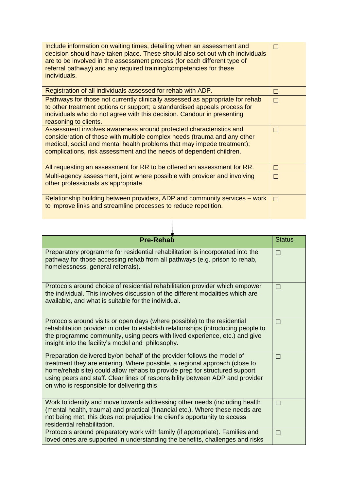| Include information on waiting times, detailing when an assessment and<br>decision should have taken place. These should also set out which individuals<br>are to be involved in the assessment process (for each different type of<br>referral pathway) and any required training/competencies for these<br>individuals. | П |
|---------------------------------------------------------------------------------------------------------------------------------------------------------------------------------------------------------------------------------------------------------------------------------------------------------------------------|---|
| Registration of all individuals assessed for rehab with ADP.                                                                                                                                                                                                                                                              | П |
| Pathways for those not currently clinically assessed as appropriate for rehab<br>to other treatment options or support; a standardised appeals process for<br>individuals who do not agree with this decision. Candour in presenting<br>reasoning to clients.                                                             | П |
| Assessment involves awareness around protected characteristics and<br>consideration of those with multiple complex needs (trauma and any other<br>medical, social and mental health problems that may impede treatment);<br>complications, risk assessment and the needs of dependent children.                           | П |
| All requesting an assessment for RR to be offered an assessment for RR.                                                                                                                                                                                                                                                   | П |
| Multi-agency assessment, joint where possible with provider and involving<br>other professionals as appropriate.                                                                                                                                                                                                          | П |
| Relationship building between providers, ADP and community services – work<br>to improve links and streamline processes to reduce repetition.                                                                                                                                                                             | П |

 $\overline{\phantom{a}}$ 

| <b>Pre-Rehab</b>                                                                                                                                                                                                                                                                                                                                                   | <b>Status</b> |
|--------------------------------------------------------------------------------------------------------------------------------------------------------------------------------------------------------------------------------------------------------------------------------------------------------------------------------------------------------------------|---------------|
| Preparatory programme for residential rehabilitation is incorporated into the<br>pathway for those accessing rehab from all pathways (e.g. prison to rehab,<br>homelessness, general referrals).                                                                                                                                                                   | П             |
| Protocols around choice of residential rehabilitation provider which empower<br>the individual. This involves discussion of the different modalities which are<br>available, and what is suitable for the individual.                                                                                                                                              | $\Box$        |
| Protocols around visits or open days (where possible) to the residential<br>rehabilitation provider in order to establish relationships (introducing people to<br>the programme community, using peers with lived experience, etc.) and give<br>insight into the facility's model and philosophy.                                                                  | П             |
| Preparation delivered by/on behalf of the provider follows the model of<br>treatment they are entering. Where possible, a regional approach (close to<br>home/rehab site) could allow rehabs to provide prep for structured support<br>using peers and staff. Clear lines of responsibility between ADP and provider<br>on who is responsible for delivering this. | П             |
| Work to identify and move towards addressing other needs (including health<br>(mental health, trauma) and practical (financial etc.). Where these needs are<br>not being met, this does not prejudice the client's opportunity to access<br>residential rehabilitation.                                                                                            | П             |
| Protocols around preparatory work with family (if appropriate). Families and<br>loved ones are supported in understanding the benefits, challenges and risks                                                                                                                                                                                                       | $\Box$        |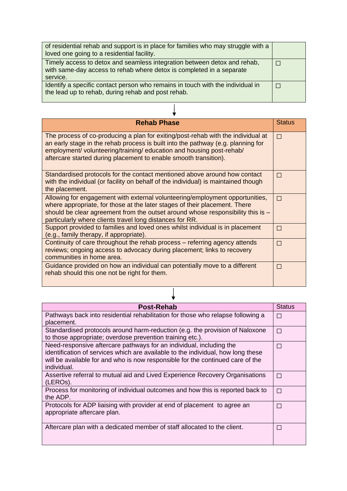| of residential rehab and support is in place for families who may struggle with a<br>loved one going to a residential facility.                              |  |
|--------------------------------------------------------------------------------------------------------------------------------------------------------------|--|
| Timely access to detox and seamless integration between detox and rehab,<br>with same-day access to rehab where detox is completed in a separate<br>service. |  |
| Identify a specific contact person who remains in touch with the individual in<br>the lead up to rehab, during rehab and post rehab.                         |  |

| <b>Rehab Phase</b>                                                                                                                                                                                                                                                                                             | <b>Status</b> |
|----------------------------------------------------------------------------------------------------------------------------------------------------------------------------------------------------------------------------------------------------------------------------------------------------------------|---------------|
| The process of co-producing a plan for exiting/post-rehab with the individual at<br>an early stage in the rehab process is built into the pathway (e.g. planning for<br>employment/volunteering/training/education and housing post-rehab/<br>aftercare started during placement to enable smooth transition). | $\Box$        |
| Standardised protocols for the contact mentioned above around how contact<br>with the individual (or facility on behalf of the individual) is maintained though<br>the placement.                                                                                                                              | П             |
| Allowing for engagement with external volunteering/employment opportunities,<br>where appropriate, for those at the later stages of their placement. There<br>should be clear agreement from the outset around whose responsibility this is $-$<br>particularly where clients travel long distances for RR.    | П             |
| Support provided to families and loved ones whilst individual is in placement<br>(e.g., family therapy, if appropriate).                                                                                                                                                                                       | П             |
| Continuity of care throughout the rehab process - referring agency attends<br>reviews; ongoing access to advocacy during placement; links to recovery<br>communities in home area.                                                                                                                             | П             |
| Guidance provided on how an individual can potentially move to a different<br>rehab should this one not be right for them.                                                                                                                                                                                     | П             |

| <b>Post-Rehab</b>                                                                | <b>Status</b> |
|----------------------------------------------------------------------------------|---------------|
| Pathways back into residential rehabilitation for those who relapse following a  | П             |
| placement.                                                                       |               |
| Standardised protocols around harm-reduction (e.g. the provision of Naloxone     | П             |
| to those appropriate; overdose prevention training etc.).                        |               |
| Need-responsive aftercare pathways for an individual, including the              | П             |
| identification of services which are available to the individual, how long these |               |
| will be available for and who is now responsible for the continued care of the   |               |
| individual.                                                                      |               |
| Assertive referral to mutual aid and Lived Experience Recovery Organisations     | П             |
| (LERO <sub>s</sub> ).                                                            |               |
| Process for monitoring of individual outcomes and how this is reported back to   | П             |
| the ADP.                                                                         |               |
| Protocols for ADP liaising with provider at end of placement to agree an         |               |
| appropriate aftercare plan.                                                      |               |
|                                                                                  |               |
| Aftercare plan with a dedicated member of staff allocated to the client.         | $\Box$        |
|                                                                                  |               |
|                                                                                  |               |

 $\downarrow$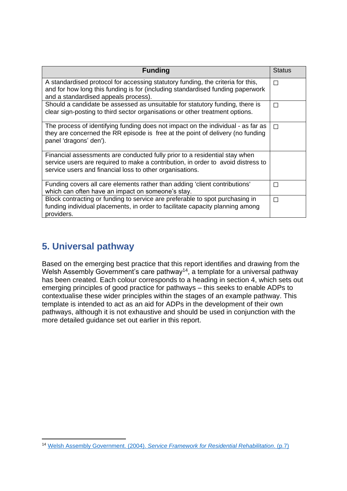| <b>Funding</b>                                                                                                                                                                                                             | <b>Status</b> |
|----------------------------------------------------------------------------------------------------------------------------------------------------------------------------------------------------------------------------|---------------|
| A standardised protocol for accessing statutory funding, the criteria for this,<br>and for how long this funding is for (including standardised funding paperwork<br>and a standardised appeals process).                  | П             |
| Should a candidate be assessed as unsuitable for statutory funding, there is<br>clear sign-posting to third sector organisations or other treatment options.                                                               | П             |
| The process of identifying funding does not impact on the individual - as far as<br>they are concerned the RR episode is free at the point of delivery (no funding<br>panel 'dragons' den').                               | П             |
| Financial assessments are conducted fully prior to a residential stay when<br>service users are required to make a contribution, in order to avoid distress to<br>service users and financial loss to other organisations. |               |
| Funding covers all care elements rather than adding 'client contributions'<br>which can often have an impact on someone's stay.                                                                                            | П             |
| Block contracting or funding to service are preferable to spot purchasing in<br>funding individual placements, in order to facilitate capacity planning among<br>providers.                                                | П             |

## <span id="page-10-0"></span>**5. Universal pathway**

Based on the emerging best practice that this report identifies and drawing from the Welsh Assembly Government's care pathway<sup>14</sup>, a template for a universal pathway has been created. Each colour corresponds to a heading in section 4, which sets out emerging principles of good practice for pathways – this seeks to enable ADPs to contextualise these wider principles within the stages of an example pathway. This template is intended to act as an aid for ADPs in the development of their own pathways, although it is not exhaustive and should be used in conjunction with the more detailed guidance set out earlier in this report.

**<sup>.</sup>** <sup>14</sup> Welsh Assembly Government. (2004). *[Service Framework for Residential Rehabilitation](https://cavuhb.nhs.wales/files/area-planning-board-apb/substance-misuse-treatment-framework-for-wales-pdf/)*. (p.7)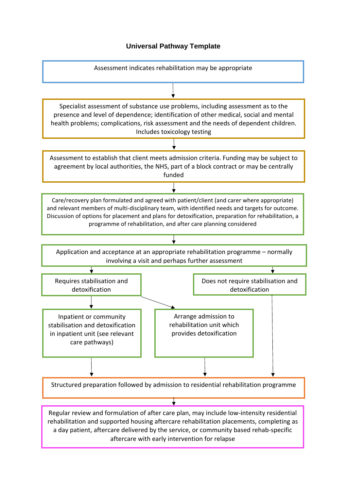#### **Universal Pathway Template**

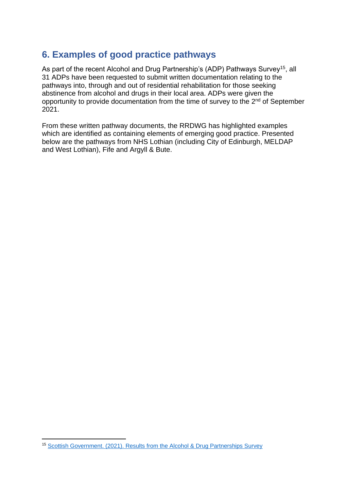## <span id="page-12-0"></span>**6. Examples of good practice pathways**

As part of the recent Alcohol and Drug Partnership's (ADP) Pathways Survey<sup>15</sup>, all 31 ADPs have been requested to submit written documentation relating to the pathways into, through and out of residential rehabilitation for those seeking abstinence from alcohol and drugs in their local area. ADPs were given the opportunity to provide documentation from the time of survey to the  $2<sup>nd</sup>$  of September 2021.

From these written pathway documents, the RRDWG has highlighted examples which are identified as containing elements of emerging good practice. Presented below are the pathways from NHS Lothian (including City of Edinburgh, MELDAP and West Lothian), Fife and Argyll & Bute.

**<sup>.</sup>** <sup>15</sup> [Scottish Government. \(2021\). Results from the Alcohol & Drug Partnerships](https://www.gov.scot/ISBN/9781802016215/documents/) Survey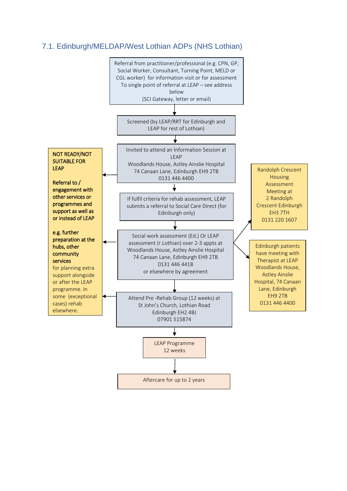### <span id="page-13-0"></span>7.1. Edinburgh/MELDAP/West Lothian ADPs (NHS Lothian)

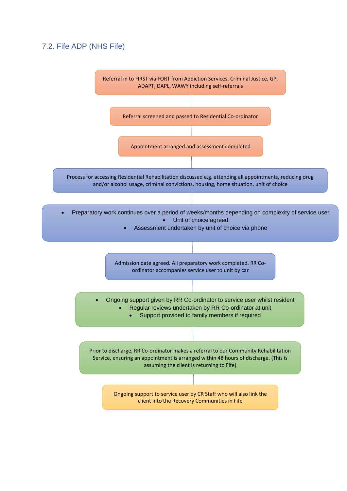### <span id="page-14-0"></span>7.2. Fife ADP (NHS Fife)